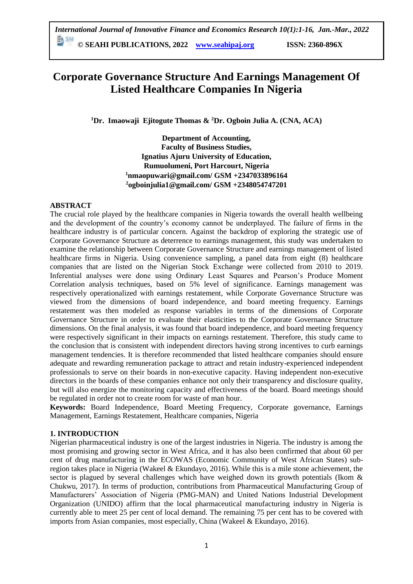# **Corporate Governance Structure And Earnings Management Of Listed Healthcare Companies In Nigeria**

**<sup>1</sup>Dr. Imaowaji Ejitogute Thomas & <sup>2</sup>Dr. Ogboin Julia A. (CNA, ACA)**

**Department of Accounting, Faculty of Business Studies, Ignatius Ajuru University of Education, Rumuolumeni, Port Harcourt, Nigeria <sup>1</sup>nmaopuwari@gmail.com/ GSM +2347033896164 <sup>2</sup>ogboinjulia1@gmail.com/ GSM +2348054747201**

#### **ABSTRACT**

The crucial role played by the healthcare companies in Nigeria towards the overall health wellbeing and the development of the country's economy cannot be underplayed. The failure of firms in the healthcare industry is of particular concern. Against the backdrop of exploring the strategic use of Corporate Governance Structure as deterrence to earnings management, this study was undertaken to examine the relationship between Corporate Governance Structure and earnings management of listed healthcare firms in Nigeria. Using convenience sampling, a panel data from eight (8) healthcare companies that are listed on the Nigerian Stock Exchange were collected from 2010 to 2019. Inferential analyses were done using Ordinary Least Squares and Pearson's Produce Moment Correlation analysis techniques, based on 5% level of significance. Earnings management was respectively operationalized with earnings restatement, while Corporate Governance Structure was viewed from the dimensions of board independence, and board meeting frequency. Earnings restatement was then modeled as response variables in terms of the dimensions of Corporate Governance Structure in order to evaluate their elasticities to the Corporate Governance Structure dimensions. On the final analysis, it was found that board independence, and board meeting frequency were respectively significant in their impacts on earnings restatement. Therefore, this study came to the conclusion that is consistent with independent directors having strong incentives to curb earnings management tendencies. It is therefore recommended that listed healthcare companies should ensure adequate and rewarding remuneration package to attract and retain industry-experienced independent professionals to serve on their boards in non-executive capacity. Having independent non-executive directors in the boards of these companies enhance not only their transparency and disclosure quality, but will also energize the monitoring capacity and effectiveness of the board. Board meetings should be regulated in order not to create room for waste of man hour.

**Keywords:** Board Independence, Board Meeting Frequency, Corporate governance, Earnings Management, Earnings Restatement, Healthcare companies, Nigeria

#### **1. INTRODUCTION**

Nigerian pharmaceutical industry is one of the largest industries in Nigeria. The industry is among the most promising and growing sector in West Africa, and it has also been confirmed that about 60 per cent of drug manufacturing in the ECOWAS (Economic Community of West African States) subregion takes place in Nigeria (Wakeel & Ekundayo, 2016). While this is a mile stone achievement, the sector is plagued by several challenges which have weighed down its growth potentials (Ikom & Chukwu, 2017). In terms of production, contributions from Pharmaceutical Manufacturing Group of Manufacturers' Association of Nigeria (PMG-MAN) and United Nations Industrial Development Organization (UNIDO) affirm that the local pharmaceutical manufacturing industry in Nigeria is currently able to meet 25 per cent of local demand. The remaining 75 per cent has to be covered with imports from Asian companies, most especially, China (Wakeel & Ekundayo, 2016).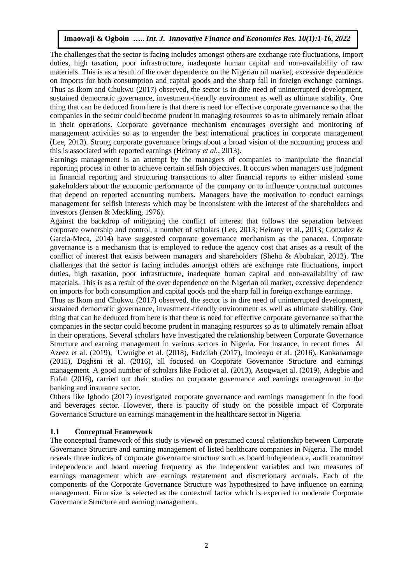The challenges that the sector is facing includes amongst others are exchange rate fluctuations, import duties, high taxation, poor infrastructure, inadequate human capital and non-availability of raw materials. This is as a result of the over dependence on the Nigerian oil market, excessive dependence on imports for both consumption and capital goods and the sharp fall in foreign exchange earnings. Thus as Ikom and Chukwu (2017) observed, the sector is in dire need of uninterrupted development, sustained democratic governance, investment-friendly environment as well as ultimate stability. One thing that can be deduced from here is that there is need for effective corporate governance so that the companies in the sector could become prudent in managing resources so as to ultimately remain afloat in their operations. Corporate governance mechanism encourages oversight and monitoring of management activities so as to engender the best international practices in corporate management (Lee, 2013). Strong corporate governance brings about a broad vision of the accounting process and this is associated with reported earnings (Heirany *et al.*, 2013).

Earnings management is an attempt by the managers of companies to manipulate the financial reporting process in other to achieve certain selfish objectives. It occurs when managers use judgment in financial reporting and structuring transactions to alter financial reports to either mislead some stakeholders about the economic performance of the company or to influence contractual outcomes that depend on reported accounting numbers. Managers have the motivation to conduct earnings management for selfish interests which may be inconsistent with the interest of the shareholders and investors (Jensen & Meckling, 1976).

Against the backdrop of mitigating the conflict of interest that follows the separation between corporate ownership and control, a number of scholars (Lee, 2013; Heirany et al., 2013; Gonzalez & Garcia-Meca, 2014) have suggested corporate governance mechanism as the panacea. Corporate governance is a mechanism that is employed to reduce the agency cost that arises as a result of the conflict of interest that exists between managers and shareholders (Shehu & Abubakar, 2012). The challenges that the sector is facing includes amongst others are exchange rate fluctuations, import duties, high taxation, poor infrastructure, inadequate human capital and non-availability of raw materials. This is as a result of the over dependence on the Nigerian oil market, excessive dependence on imports for both consumption and capital goods and the sharp fall in foreign exchange earnings.

Thus as Ikom and Chukwu (2017) observed, the sector is in dire need of uninterrupted development, sustained democratic governance, investment-friendly environment as well as ultimate stability. One thing that can be deduced from here is that there is need for effective corporate governance so that the companies in the sector could become prudent in managing resources so as to ultimately remain afloat in their operations. Several scholars have investigated the relationship between Corporate Governance Structure and earning management in various sectors in Nigeria. For instance, in recent times Al Azeez et al. (2019), Uwuigbe et al. (2018), Fadzilah (2017), Imoleayo et al. (2016), Kankanamage (2015), Daghsni et al. (2016), all focused on Corporate Governance Structure and earnings management. A good number of scholars like Fodio et al. (2013), Asogwa,et al. (2019), Adegbie and Fofah (2016), carried out their studies on corporate governance and earnings management in the banking and insurance sector.

Others like Igbodo (2017) investigated corporate governance and earnings management in the food and beverages sector. However, there is paucity of study on the possible impact of Corporate Governance Structure on earnings management in the healthcare sector in Nigeria.

#### **1.1 Conceptual Framework**

The conceptual framework of this study is viewed on presumed causal relationship between Corporate Governance Structure and earning management of listed healthcare companies in Nigeria. The model reveals three indices of corporate governance structure such as board independence, audit committee independence and board meeting frequency as the independent variables and two measures of earnings management which are earnings restatement and discretionary accruals. Each of the components of the Corporate Governance Structure was hypothesized to have influence on earning management. Firm size is selected as the contextual factor which is expected to moderate Corporate Governance Structure and earning management.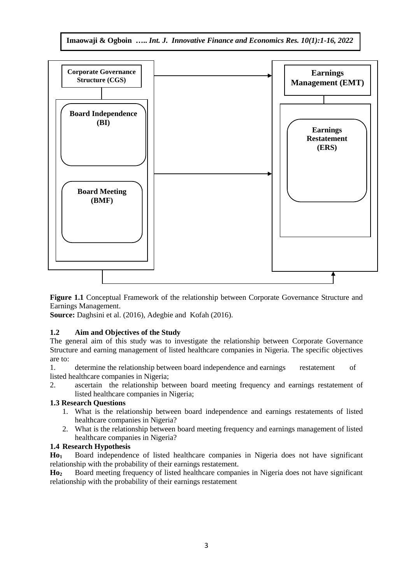

**Figure 1.1** Conceptual Framework of the relationship between Corporate Governance Structure and Earnings Management.

**Source:** Daghsini et al. (2016), Adegbie and Kofah (2016).

### **1.2 Aim and Objectives of the Study**

The general aim of this study was to investigate the relationship between Corporate Governance Structure and earning management of listed healthcare companies in Nigeria. The specific objectives are to:

1. determine the relationship between board independence and earnings restatement of listed healthcare companies in Nigeria;

2. ascertain the relationship between board meeting frequency and earnings restatement of listed healthcare companies in Nigeria;

### **1.3 Research Questions**

- 1. What is the relationship between board independence and earnings restatements of listed healthcare companies in Nigeria?
- 2. What is the relationship between board meeting frequency and earnings management of listed healthcare companies in Nigeria?

### **1.4 Research Hypothesis**

**Ho<sup>1</sup>** Board independence of listed healthcare companies in Nigeria does not have significant relationship with the probability of their earnings restatement.

**Ho<sup>2</sup>** Board meeting frequency of listed healthcare companies in Nigeria does not have significant relationship with the probability of their earnings restatement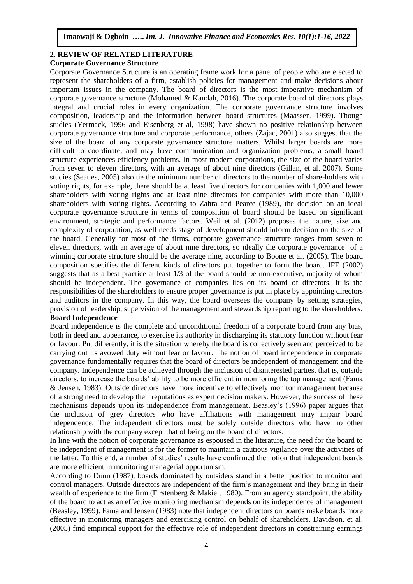## **2. REVIEW OF RELATED LITERATURE**

### **Corporate Governance Structure**

Corporate Governance Structure is an operating frame work for a panel of people who are elected to represent the shareholders of a firm, establish policies for management and make decisions about important issues in the company. The board of directors is the most imperative mechanism of corporate governance structure (Mohamed & Kandah, 2016). The corporate board of directors plays integral and crucial roles in every organization. The corporate governance structure involves composition, leadership and the information between board structures (Maassen, 1999). Though studies (Yermack, 1996 and Eisenberg et al, 1998) have shown no positive relationship between corporate governance structure and corporate performance, others (Zajac, 2001) also suggest that the size of the board of any corporate governance structure matters. Whilst larger boards are more difficult to coordinate, and may have communication and organization problems, a small board structure experiences efficiency problems. In most modern corporations, the size of the board varies from seven to eleven directors, with an average of about nine directors (Gillan, et al. 2007). Some studies (Seatles, 2005) also tie the minimum number of directors to the number of share-holders with voting rights, for example, there should be at least five directors for companies with 1,000 and fewer shareholders with voting rights and at least nine directors for companies with more than 10,000 shareholders with voting rights. According to Zahra and Pearce (1989), the decision on an ideal corporate governance structure in terms of composition of board should be based on significant environment, strategic and performance factors. Weil et al. (2012) proposes the nature, size and complexity of corporation, as well needs stage of development should inform decision on the size of the board. Generally for most of the firms, corporate governance structure ranges from seven to eleven directors, with an average of about nine directors, so ideally the corporate governance of a winning corporate structure should be the average nine, according to Boone et al. (2005). The board composition specifies the different kinds of directors put together to form the board. IFF (2002) suggests that as a best practice at least 1/3 of the board should be non-executive, majority of whom should be independent. The governance of companies lies on its board of directors. It is the responsibilities of the shareholders to ensure proper governance is put in place by appointing directors and auditors in the company. In this way, the board oversees the company by setting strategies, provision of leadership, supervision of the management and stewardship reporting to the shareholders. **Board Independence**

Board independence is the complete and unconditional freedom of a corporate board from any bias, both in deed and appearance, to exercise its authority in discharging its statutory function without fear or favour. Put differently, it is the situation whereby the board is collectively seen and perceived to be carrying out its avowed duty without fear or favour. The notion of board independence in corporate governance fundamentally requires that the board of directors be independent of management and the company. Independence can be achieved through the inclusion of disinterested parties, that is, outside directors, to increase the boards' ability to be more efficient in monitoring the top management (Fama & Jensen, 1983). Outside directors have more incentive to effectively monitor management because of a strong need to develop their reputations as expert decision makers. However, the success of these mechanisms depends upon its independence from management. Beasley's (1996) paper argues that the inclusion of grey directors who have affiliations with management may impair board independence. The independent directors must be solely outside directors who have no other relationship with the company except that of being on the board of directors.

In line with the notion of corporate governance as espoused in the literature, the need for the board to be independent of management is for the former to maintain a cautious vigilance over the activities of the latter. To this end, a number of studies' results have confirmed the notion that independent boards are more efficient in monitoring managerial opportunism.

According to Dunn (1987), boards dominated by outsiders stand in a better position to monitor and control managers. Outside directors are independent of the firm's management and they bring in their wealth of experience to the firm (Firstenberg & Makiel, 1980). From an agency standpoint, the ability of the board to act as an effective monitoring mechanism depends on its independence of management (Beasley, 1999). Fama and Jensen (1983) note that independent directors on boards make boards more effective in monitoring managers and exercising control on behalf of shareholders. Davidson, et al. (2005) find empirical support for the effective role of independent directors in constraining earnings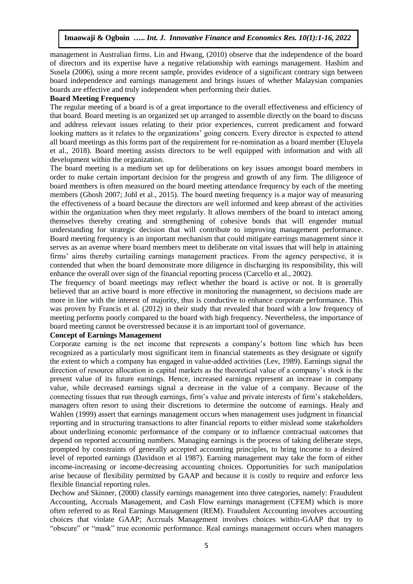management in Australian firms. Lin and Hwang, (2010) observe that the independence of the board of directors and its expertise have a negative relationship with earnings management. Hashim and Susela (2006), using a more recent sample, provides evidence of a significant contrary sign between board independence and earnings management and brings issues of whether Malaysian companies boards are effective and truly independent when performing their duties.

#### **Board Meeting Frequency**

The regular meeting of a board is of a great importance to the overall effectiveness and efficiency of that board. Board meeting is an organized set up arranged to assemble directly on the board to discuss and address relevant issues relating to their prior experiences, current predicament and forward looking matters as it relates to the organizations' going concern. Every director is expected to attend all board meetings as this forms part of the requirement for re-nomination as a board member (Eluyela et al., 2018). Board meeting assists directors to be well equipped with information and with all development within the organization.

The board meeting is a medium set up for deliberations on key issues amongst board members in order to make certain important decision for the progress and growth of any firm. The diligence of board members is often measured on the board meeting attendance frequency by each of the meeting members (Ghosh 2007; Johl et al., 2015). The board meeting frequency is a major way of measuring the effectiveness of a board because the directors are well informed and keep abreast of the activities within the organization when they meet regularly. It allows members of the board to interact among themselves thereby creating and strengthening of cohesive bonds that will engender mutual understanding for strategic decision that will contribute to improving management performance. Board meeting frequency is an important mechanism that could mitigate earrings management since it serves as an avenue where board members meet to deliberate on vital issues that will help in attaining firms' aims thereby curtailing earnings management practices. From the agency perspective, it is contended that when the board demonstrate more diligence in discharging its responsibility, this will enhance the overall over sign of the financial reporting process (Carcello et al., 2002).

The frequency of board meetings may reflect whether the board is active or not. It is generally believed that an active board is more effective in monitoring the management, so decisions made are more in line with the interest of majority, thus is conductive to enhance corporate performance. This was proven by Francis et al. (2012) in their study that revealed that board with a low frequency of meeting performs poorly compared to the board with high frequency. Nevertheless, the importance of board meeting cannot be overstressed because it is an important tool of governance.

#### **Concept of Earnings Management**

Corporate earning is the net income that represents a company's bottom line which has been recognized as a particularly most significant item in financial statements as they designate or signify the extent to which a company has engaged in value-added activities (Lev, 1989). Earnings signal the direction of resource allocation in capital markets as the theoretical value of a company's stock is the present value of its future earnings. Hence, increased earnings represent an increase in company value, while decreased earnings signal a decrease in the value of a company. Because of the connecting tissues that run through earnings, firm's value and private interests of firm's stakeholders, managers often resort to using their discretions to determine the outcome of earnings. Healy and Wahlen (1999) assert that earnings management occurs when management uses judgment in financial reporting and in structuring transactions to alter financial reports to either mislead some stakeholders about underlining economic performance of the company or to influence contractual outcomes that depend on reported accounting numbers. Managing earnings is the process of taking deliberate steps, prompted by constraints of generally accepted accounting principles, to bring income to a desired level of reported earnings (Davidson et al 1987). Earning management may take the form of either income-increasing or income-decreasing accounting choices. Opportunities for such manipulation arise because of flexibility permitted by GAAP and because it is costly to require and enforce less flexible financial reporting rules.

Dechow and Skinner, (2000) classify earnings management into three categories, namely: Fraudulent Accounting, Accruals Management, and Cash Flow earnings management (CFEM) which is more often referred to as Real Earnings Management (REM). Fraudulent Accounting involves accounting choices that violate GAAP; Accruals Management involves choices within-GAAP that try to "obscure" or "mask" true economic performance. Real earnings management occurs when managers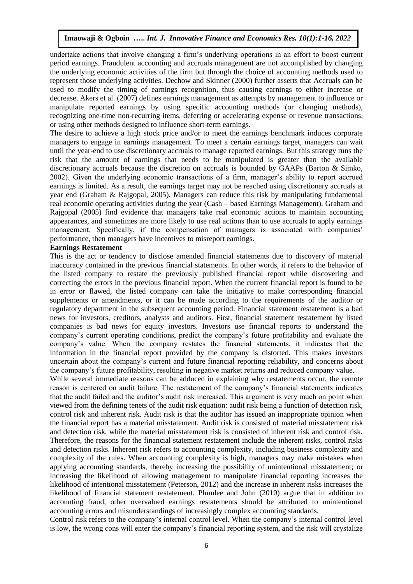undertake actions that involve changing a firm's underlying operations in an effort to boost current period earnings. Fraudulent accounting and accruals management are not accomplished by changing the underlying economic activities of the firm but through the choice of accounting methods used to represent those underlying activities. Dechow and Skinner (2000) further asserts that Accruals can be used to modify the timing of earnings recognition, thus causing earnings to either increase or decrease. Akers et al. (2007) defines earnings management as attempts by management to influence or manipulate reported earnings by using specific accounting methods (or changing methods), recognizing one-time non-recurring items, deferring or accelerating expense or revenue transactions, or using other methods designed to influence short-term earnings.

The desire to achieve a high stock price and/or to meet the earnings benchmark induces corporate managers to engage in earnings management. To meet a certain earnings target, managers can wait until the year-end to use discretionary accruals to manage reported earnings. But this strategy runs the risk that the amount of earnings that needs to be manipulated is greater than the available discretionary accruals because the discretion on accruals is bounded by GAAPs (Barton & Simko, 2002). Given the underlying economic transactions of a firm, manager's ability to report accrued earnings is limited. As a result, the earnings target may not be reached using discretionary accruals at year end (Graham & Rajgopal, 2005). Managers can reduce this risk by manipulating fundamental real economic operating activities during the year (Cash – based Earnings Management). Graham and Rajgopal (2005) find evidence that managers take real economic actions to maintain accounting appearances, and sometimes are more likely to use real actions than to use accruals to apply earnings management. Specifically, if the compensation of managers is associated with companies' performance, then managers have incentives to misreport earnings.

#### **Earnings Restatement**

This is the act or tendency to disclose amended financial statements due to discovery of material inaccuracy contained in the previous financial statements. In other words, it refers to the behavior of the listed company to restate the previously published financial report while discovering and correcting the errors in the previous financial report. When the current financial report is found to be in error or flawed, the listed company can take the initiative to make corresponding financial supplements or amendments, or it can be made according to the requirements of the auditor or regulatory department in the subsequent accounting period. Financial statement restatement is a bad news for investors, creditors, analysts and auditors. First, financial statement restatement by listed companies is bad news for equity investors. Investors use financial reports to understand the company's current operating conditions, predict the company's future profitability and evaluate the company's value. When the company restates the financial statements, it indicates that the information in the financial report provided by the company is distorted. This makes investors uncertain about the company's current and future financial reporting reliability, and concerns about the company's future profitability, resulting in negative market returns and reduced company value.

While several immediate reasons can be adduced in explaining why restatements occur, the remote reason is centered on audit failure. The restatement of the company's financial statements indicates that the audit failed and the auditor's audit risk increased. This argument is very much on point when viewed from the defining tenets of the audit risk equation: audit risk being a function of detection risk, control risk and inherent risk. Audit risk is that the auditor has issued an inappropriate opinion when the financial report has a material misstatement. Audit risk is consisted of material misstatement risk and detection risk, while the material misstatement risk is consisted of inherent risk and control risk. Therefore, the reasons for the financial statement restatement include the inherent risks, control risks and detection risks. Inherent risk refers to accounting complexity, including business complexity and complexity of the rules. When accounting complexity is high, managers may make mistakes when applying accounting standards, thereby increasing the possibility of unintentional misstatement; or increasing the likelihood of allowing management to manipulate financial reporting increases the likelihood of intentional misstatement (Peterson, 2012) and the increase in inherent risks increases the likelihood of financial statement restatement. Plumlee and John (2010) argue that in addition to accounting fraud, other overvalued earnings restatements should be attributed to unintentional accounting errors and misunderstandings of increasingly complex accounting standards.

Control risk refers to the company's internal control level. When the company's internal control level is low, the wrong cons will enter the company's financial reporting system, and the risk will crystalize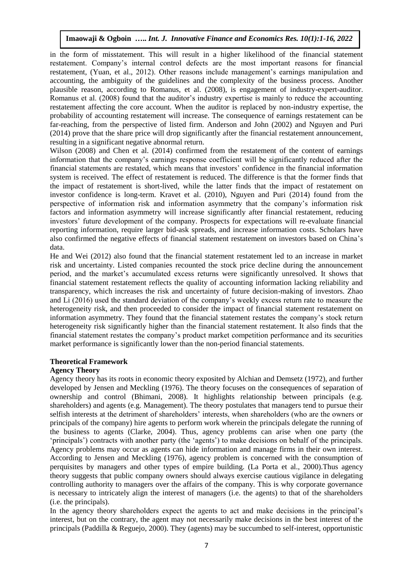in the form of misstatement. This will result in a higher likelihood of the financial statement restatement. Company's internal control defects are the most important reasons for financial restatement, (Yuan, et al., 2012). Other reasons include management's earnings manipulation and accounting, the ambiguity of the guidelines and the complexity of the business process. Another plausible reason, according to Romanus, et al. (2008), is engagement of industry-expert-auditor. Romanus et al. (2008) found that the auditor's industry expertise is mainly to reduce the accounting restatement affecting the core account. When the auditor is replaced by non-industry expertise, the probability of accounting restatement will increase. The consequence of earnings restatement can be far-reaching, from the perspective of listed firm. Anderson and John (2002) and Nguyen and Puri (2014) prove that the share price will drop significantly after the financial restatement announcement, resulting in a significant negative abnormal return.

Wilson (2008) and Chen et al. (2014) confirmed from the restatement of the content of earnings information that the company's earnings response coefficient will be significantly reduced after the financial statements are restated, which means that investors' confidence in the financial information system is received. The effect of restatement is reduced. The difference is that the former finds that the impact of restatement is short-lived, while the latter finds that the impact of restatement on investor confidence is long-term. Kravet et al. (2010), Nguyen and Puri (2014) found from the perspective of information risk and information asymmetry that the company's information risk factors and information asymmetry will increase significantly after financial restatement, reducing investors' future development of the company. Prospects for expectations will re-evaluate financial reporting information, require larger bid-ask spreads, and increase information costs. Scholars have also confirmed the negative effects of financial statement restatement on investors based on China's data.

He and Wei (2012) also found that the financial statement restatement led to an increase in market risk and uncertainty. Listed companies recounted the stock price decline during the announcement period, and the market's accumulated excess returns were significantly unresolved. It shows that financial statement restatement reflects the quality of accounting information lacking reliability and transparency, which increases the risk and uncertainty of future decision-making of investors. Zhao and Li (2016) used the standard deviation of the company's weekly excess return rate to measure the heterogeneity risk, and then proceeded to consider the impact of financial statement restatement on information asymmetry. They found that the financial statement restates the company's stock return heterogeneity risk significantly higher than the financial statement restatement. It also finds that the financial statement restates the company's product market competition performance and its securities market performance is significantly lower than the non-period financial statements.

#### **Theoretical Framework**

#### **Agency Theory**

Agency theory has its roots in economic theory exposited by Alchian and Demsetz (1972), and further developed by Jensen and Meckling (1976). The theory focuses on the consequences of separation of ownership and control (Bhimani, 2008). It highlights relationship between principals (e.g. shareholders) and agents (e.g. Management). The theory postulates that managers tend to pursue their selfish interests at the detriment of shareholders' interests, when shareholders (who are the owners or principals of the company) hire agents to perform work wherein the principals delegate the running of the business to agents (Clarke, 2004). Thus, agency problems can arise when one party (the 'principals') contracts with another party (the 'agents') to make decisions on behalf of the principals. Agency problems may occur as agents can hide information and manage firms in their own interest. According to Jensen and Meckling (1976), agency problem is concerned with the consumption of perquisites by managers and other types of empire building. (La Porta et al., 2000).Thus agency theory suggests that public company owners should always exercise cautious vigilance in delegating controlling authority to managers over the affairs of the company. This is why corporate governance is necessary to intricately align the interest of managers (i.e. the agents) to that of the shareholders (i.e. the principals).

In the agency theory shareholders expect the agents to act and make decisions in the principal's interest, but on the contrary, the agent may not necessarily make decisions in the best interest of the principals (Paddilla & Reguejo, 2000). They (agents) may be succumbed to self-interest, opportunistic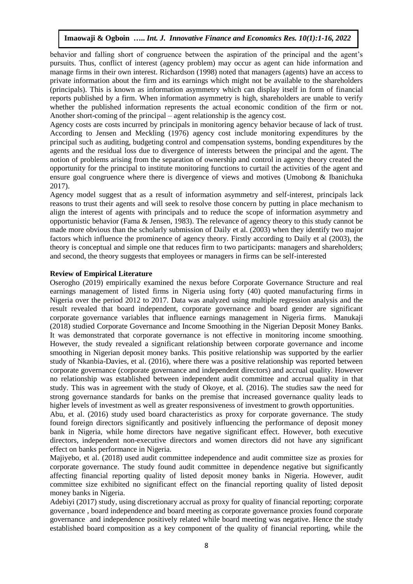behavior and falling short of congruence between the aspiration of the principal and the agent's pursuits. Thus, conflict of interest (agency problem) may occur as agent can hide information and manage firms in their own interest. Richardson (1998) noted that managers (agents) have an access to private information about the firm and its earnings which might not be available to the shareholders (principals). This is known as information asymmetry which can display itself in form of financial reports published by a firm. When information asymmetry is high, shareholders are unable to verify whether the published information represents the actual economic condition of the firm or not. Another short-coming of the principal – agent relationship is the agency cost.

Agency costs are costs incurred by principals in monitoring agency behavior because of lack of trust. According to Jensen and Meckling (1976) agency cost include monitoring expenditures by the principal such as auditing, budgeting control and compensation systems, bonding expenditures by the agents and the residual loss due to divergence of interests between the principal and the agent. The notion of problems arising from the separation of ownership and control in agency theory created the opportunity for the principal to institute monitoring functions to curtail the activities of the agent and ensure goal congruence where there is divergence of views and motives (Umobong & Ibanichuka 2017).

Agency model suggest that as a result of information asymmetry and self-interest, principals lack reasons to trust their agents and will seek to resolve those concern by putting in place mechanism to align the interest of agents with principals and to reduce the scope of information asymmetry and opportunistic behavior (Fama & Jensen, 1983). The relevance of agency theory to this study cannot be made more obvious than the scholarly submission of Daily et al. (2003) when they identify two major factors which influence the prominence of agency theory. Firstly according to Daily et al (2003), the theory is conceptual and simple one that reduces firm to two participants: managers and shareholders; and second, the theory suggests that employees or managers in firms can be self-interested

#### **Review of Empirical Literature**

Oserogho (2019) empirically examined the nexus before Corporate Governance Structure and real earnings management of listed firms in Nigeria using forty (40) quoted manufacturing firms in Nigeria over the period 2012 to 2017. Data was analyzed using multiple regression analysis and the result revealed that board independent, corporate governance and board gender are significant corporate governance variables that influence earnings management in Nigeria firms. Manukaji (2018) studied Corporate Governance and Income Smoothing in the Nigerian Deposit Money Banks. It was demonstrated that corporate governance is not effective in monitoring income smoothing. However, the study revealed a significant relationship between corporate governance and income smoothing in Nigerian deposit money banks. This positive relationship was supported by the earlier study of Nkanbia-Davies, et al. (2016), where there was a positive relationship was reported between corporate governance (corporate governance and independent directors) and accrual quality. However no relationship was established between independent audit committee and accrual quality in that study. This was in agreement with the study of Okoye, et al. (2016). The studies saw the need for strong governance standards for banks on the premise that increased governance quality leads to higher levels of investment as well as greater responsiveness of investment to growth opportunities.

Abu, et al. (2016) study used board characteristics as proxy for corporate governance. The study found foreign directors significantly and positively influencing the performance of deposit money bank in Nigeria, while home directors have negative significant effect. However, both executive directors, independent non-executive directors and women directors did not have any significant effect on banks performance in Nigeria.

Majiyebo, et al. (2018) used audit committee independence and audit committee size as proxies for corporate governance. The study found audit committee in dependence negative but significantly affecting financial reporting quality of listed deposit money banks in Nigeria. However, audit committee size exhibited no significant effect on the financial reporting quality of listed deposit money banks in Nigeria.

Adebiyi (2017) study, using discretionary accrual as proxy for quality of financial reporting; corporate governance , board independence and board meeting as corporate governance proxies found corporate governance and independence positively related while board meeting was negative. Hence the study established board composition as a key component of the quality of financial reporting, while the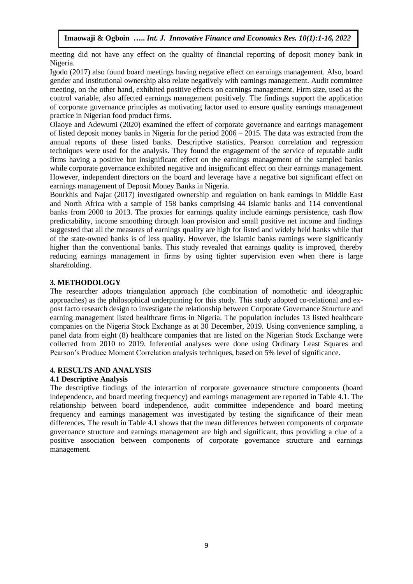meeting did not have any effect on the quality of financial reporting of deposit money bank in Nigeria.

Igodo (2017) also found board meetings having negative effect on earnings management. Also, board gender and institutional ownership also relate negatively with earnings management. Audit committee meeting, on the other hand, exhibited positive effects on earnings management. Firm size, used as the control variable, also affected earnings management positively. The findings support the application of corporate governance principles as motivating factor used to ensure quality earnings management practice in Nigerian food product firms.

Olaoye and Adewumi (2020) examined the effect of corporate governance and earrings management of listed deposit money banks in Nigeria for the period 2006 – 2015. The data was extracted from the annual reports of these listed banks. Descriptive statistics, Pearson correlation and regression techniques were used for the analysis. They found the engagement of the service of reputable audit firms having a positive but insignificant effect on the earnings management of the sampled banks while corporate governance exhibited negative and insignificant effect on their earnings management. However, independent directors on the board and leverage have a negative but significant effect on earnings management of Deposit Money Banks in Nigeria.

Bourkhis and Najar (2017) investigated ownership and regulation on bank earnings in Middle East and North Africa with a sample of 158 banks comprising 44 Islamic banks and 114 conventional banks from 2000 to 2013. The proxies for earnings quality include earnings persistence, cash flow predictability, income smoothing through loan provision and small positive net income and findings suggested that all the measures of earnings quality are high for listed and widely held banks while that of the state-owned banks is of less quality. However, the Islamic banks earnings were significantly higher than the conventional banks. This study revealed that earnings quality is improved, thereby reducing earnings management in firms by using tighter supervision even when there is large shareholding.

#### **3. METHODOLOGY**

The researcher adopts triangulation approach (the combination of nomothetic and ideographic approaches) as the philosophical underpinning for this study. This study adopted co-relational and expost facto research design to investigate the relationship between Corporate Governance Structure and earning management listed healthcare firms in Nigeria. The population includes 13 listed healthcare companies on the Nigeria Stock Exchange as at 30 December, 2019. Using convenience sampling, a panel data from eight (8) healthcare companies that are listed on the Nigerian Stock Exchange were collected from 2010 to 2019. Inferential analyses were done using Ordinary Least Squares and Pearson's Produce Moment Correlation analysis techniques, based on 5% level of significance.

#### **4. RESULTS AND ANALYSIS**

#### **4.1 Descriptive Analysis**

The descriptive findings of the interaction of corporate governance structure components (board independence, and board meeting frequency) and earnings management are reported in Table 4.1. The relationship between board independence, audit committee independence and board meeting frequency and earnings management was investigated by testing the significance of their mean differences. The result in Table 4.1 shows that the mean differences between components of corporate governance structure and earnings management are high and significant, thus providing a clue of a positive association between components of corporate governance structure and earnings management.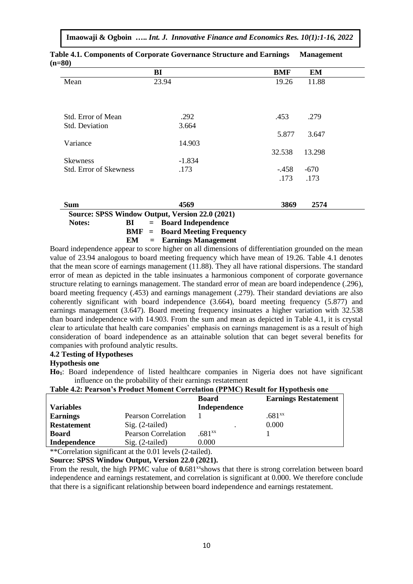| Imaowaji & Ogboin  Int. J. Innovative Finance and Economics Res. 10(1):1-16, 2022 |  |  |  |  |  |  |
|-----------------------------------------------------------------------------------|--|--|--|--|--|--|
|-----------------------------------------------------------------------------------|--|--|--|--|--|--|

|                               | BI       | BMF    | EM     |
|-------------------------------|----------|--------|--------|
| Mean                          | 23.94    | 19.26  | 11.88  |
|                               |          |        |        |
| Std. Error of Mean            | .292     | .453   | .279   |
| Std. Deviation                | 3.664    |        |        |
|                               |          | 5.877  | 3.647  |
| Variance                      | 14.903   |        |        |
|                               |          | 32.538 | 13.298 |
| <b>Skewness</b>               | $-1.834$ |        |        |
| <b>Std. Error of Skewness</b> | .173     | -.458  | $-670$ |
|                               |          | .173   | .173   |
|                               |          |        |        |
| <b>Sum</b>                    | 4569     | 3869   | 2574   |

**Table 4.1. Components of Corporate Governance Structure and Earnings Management (n=80)**

|        |      | Source: SPSS Window Output, Version 22.0 (2021)                                  |
|--------|------|----------------------------------------------------------------------------------|
| Notes: | BI — | $=$ Board Independence                                                           |
|        |      | $BMF =$ Board Meeting Frequency                                                  |
|        |      | $EM = Earnings Management$                                                       |
|        |      | Board independence appear to score higher on all dimensions of differentiation g |

Board independence appear to score higher on all dimensions of differentiation grounded on the mean value of 23.94 analogous to board meeting frequency which have mean of 19.26. Table 4.1 denotes that the mean score of earnings management (11.88). They all have rational dispersions. The standard error of mean as depicted in the table insinuates a harmonious component of corporate governance structure relating to earnings management. The standard error of mean are board independence (.296), board meeting frequency (.453) and earnings management (.279). Their standard deviations are also coherently significant with board independence (3.664), board meeting frequency (5.877) and earnings management (3.647). Board meeting frequency insinuates a higher variation with 32.538 than board independence with 14.903. From the sum and mean as depicted in Table 4.1, it is crystal clear to articulate that health care companies' emphasis on earnings management is as a result of high consideration of board independence as an attainable solution that can beget several benefits for companies with profound analytic results.

#### **4.2 Testing of Hypotheses**

#### **Hypothesis one**

**Ho1**: Board independence of listed healthcare companies in Nigeria does not have significant influence on the probability of their earnings restatement

| Table 4.2: Pearson's Product Moment Correlation (PPMC) Result for Hypothesis one |                            |                    |                             |  |  |
|----------------------------------------------------------------------------------|----------------------------|--------------------|-----------------------------|--|--|
|                                                                                  |                            | <b>Board</b>       | <b>Earnings Restatement</b> |  |  |
| <b>Variables</b>                                                                 |                            | Independence       |                             |  |  |
| <b>Earnings</b>                                                                  | Pearson Correlation        |                    | .681 <sup>xx</sup>          |  |  |
| <b>Restatement</b>                                                               | $Sig. (2-tailed)$          |                    | 0.000                       |  |  |
| <b>Board</b>                                                                     | <b>Pearson Correlation</b> | .681 <sup>xx</sup> |                             |  |  |
| Independence                                                                     | Sig. (2-tailed)            | 0.000              |                             |  |  |

## **Table 4.2: Pearson's Product Moment Correlation (PPMC) Result for Hypothesis one**

\*\*Correlation significant at the 0.01 levels (2-tailed).

## **Source: SPSS Window Output, Version 22.0 (2021).**

From the result, the high PPMC value of **0.**681<sup>xx</sup>shows that there is strong correlation between board independence and earnings restatement, and correlation is significant at 0.000. We therefore conclude that there is a significant relationship between board independence and earnings restatement.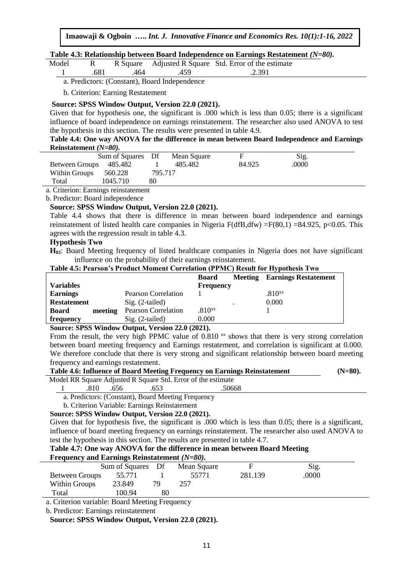#### **Table 4.3: Relationship between Board Independence on Earnings Restatement** *(N=80).*

| Model |      |         |                                               | R Square Adjusted R Square Std. Error of the estimate |  |
|-------|------|---------|-----------------------------------------------|-------------------------------------------------------|--|
|       | .681 | 464 - 1 | 459                                           | .2.391                                                |  |
|       |      |         | a. Predictors: (Constant), Board Independence |                                                       |  |

b. Criterion: Earning Restatement

#### **Source: SPSS Window Output, Version 22.0 (2021).**

Given that for hypothesis one, the significant is .000 which is less than 0.05; there is a significant influence of board independence on earnings reinstatement. The researcher also used ANOVA to test the hypothesis in this section. The results were presented in table 4.9.

#### **Table 4.4: One way ANOVA for the difference in mean between Board Independence and Earnings Reinstatement** *(N=80).*

|                        | Sum of Squares Df |         | Mean Square |        | Sig.  |  |
|------------------------|-------------------|---------|-------------|--------|-------|--|
| Between Groups 485.482 |                   |         | 485.482     | 84.925 | .0000 |  |
| Within Groups          | 560.228           | 795.717 |             |        |       |  |
| Total                  | 1045.710          | 80      |             |        |       |  |
|                        |                   |         |             |        |       |  |

a. Criterion: Earnings reinstatement

b. Predictor: Board independence

#### **Source: SPSS Window Output, Version 22.0 (2021).**

Table 4.4 shows that there is difference in mean between board independence and earnings reinstatement of listed health care companies in Nigeria F(dfB,dfw) =F(80,1) =84.925, p<0.05. This agrees with the regression result in table 4.3.

#### **Hypothesis Two**

**H02**: Board Meeting frequency of listed healthcare companies in Nigeria does not have significant influence on the probability of their earnings reinstatement.

#### **Table 4.5: Pearson's Product Moment Correlation (PPMC) Result for Hypothesis Two**

| <b>Board</b>                                                                | <b>Meeting</b> Earnings Restatement |
|-----------------------------------------------------------------------------|-------------------------------------|
| <b>Variables</b><br><b>Frequency</b>                                        |                                     |
| <b>Earnings</b><br><b>Pearson Correlation</b>                               | .810 <sub>xx</sub>                  |
| $Sig. (2-tailed)$<br><b>Restatement</b>                                     | 0.000                               |
| .810 <sup>xx</sup><br><b>Pearson Correlation</b><br><b>Board</b><br>meeting |                                     |
| $0.000\,$<br>frequency<br>$Sig. (2-tailed)$                                 |                                     |

#### **Source: SPSS Window Output, Version 22.0 (2021).**

From the result, the very high PPMC value of  $0.810<sup>xx</sup>$  shows that there is very strong correlation between board meeting frequency and Earnings restatement, and correlation is significant at 0.000. We therefore conclude that there is very strong and significant relationship between board meeting frequency and earnings restatement.

|                             |                                                                                                                                        | Table 4.6: Influence of Board Meeting Frequency on Earnings Reinstatement | $(N=80)$ . |
|-----------------------------|----------------------------------------------------------------------------------------------------------------------------------------|---------------------------------------------------------------------------|------------|
| $\mathbf{M}$ 11 DD $\alpha$ | $\blacksquare$ $\blacksquare$ $\blacksquare$ $\blacksquare$ $\blacksquare$ $\blacksquare$ $\blacksquare$ $\blacksquare$ $\blacksquare$ |                                                                           |            |

Model RR Square Adjusted R Square Std. Error of the estimate 1 .810 .656 .653 .50668

a. Predictors: (Constant), Board Meeting Frequency

b. Criterion Variable: Earnings Reinstatement

#### **Source: SPSS Window Output, Version 22.0 (2021).**

Given that for hypothesis five, the significant is .000 which is less than 0.05; there is a significant, influence of board meeting frequency on earnings reinstatement. The researcher also used ANOVA to test the hypothesis in this section. The results are presented in table 4.7.

#### **Table 4.7: One way ANOVA for the difference in mean between Board Meeting Frequency and Earnings Reinstatement** *(N=80).*

|                | $r$ requestly and Earnings Neural denotes $(r) = o(r)$ . |    |             |         |       |  |  |
|----------------|----------------------------------------------------------|----|-------------|---------|-------|--|--|
|                | Sum of Squares Df                                        |    | Mean Square | F       | Sig.  |  |  |
| Between Groups | 55.771                                                   |    | 55771       | 281.139 | .0000 |  |  |
| Within Groups  | 23.849                                                   | 79 | 257         |         |       |  |  |
| Total          | 100.94                                                   | 80 |             |         |       |  |  |

a. Criterion variable: Board Meeting Frequency

b. Predictor: Earnings reinstatement

**Source: SPSS Window Output, Version 22.0 (2021).**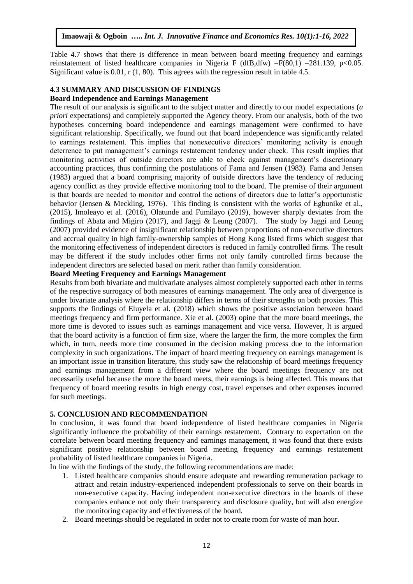Table 4.7 shows that there is difference in mean between board meeting frequency and earnings reinstatement of listed healthcare companies in Nigeria F (dfB,dfw) =F(80,1) =281.139, p<0.05. Significant value is  $0.01$ , r  $(1, 80)$ . This agrees with the regression result in table 4.5.

#### **4.3 SUMMARY AND DISCUSSION OF FINDINGS**

#### **Board Independence and Earnings Management**

The result of our analysis is significant to the subject matter and directly to our model expectations (*a priori* expectations) and completely supported the Agency theory. From our analysis, both of the two hypotheses concerning board independence and earnings management were confirmed to have significant relationship. Specifically, we found out that board independence was significantly related to earnings restatement. This implies that nonexecutive directors' monitoring activity is enough deterrence to put management's earnings restatement tendency under check. This result implies that monitoring activities of outside directors are able to check against management's discretionary accounting practices, thus confirming the postulations of Fama and Jensen (1983). Fama and Jensen (1983) argued that a board comprising majority of outside directors have the tendency of reducing agency conflict as they provide effective monitoring tool to the board. The premise of their argument is that boards are needed to monitor and control the actions of directors due to latter's opportunistic behavior (Jensen & Meckling, 1976). This finding is consistent with the works of Egbunike et al., (2015), Imoleayo et al. (2016), Olatunde and Fumilayo (2019), however sharply deviates from the findings of Abata and Migiro (2017), and Jaggi & Leung (2007). The study by Jaggi and Leung (2007) provided evidence of insignificant relationship between proportions of non-executive directors and accrual quality in high family-ownership samples of Hong Kong listed firms which suggest that the monitoring effectiveness of independent directors is reduced in family controlled firms. The result may be different if the study includes other firms not only family controlled firms because the independent directors are selected based on merit rather than family consideration.

#### **Board Meeting Frequency and Earnings Management**

Results from both bivariate and multivariate analyses almost completely supported each other in terms of the respective surrogacy of both measures of earnings management. The only area of divergence is under bivariate analysis where the relationship differs in terms of their strengths on both proxies. This supports the findings of Eluyela et al. (2018) which shows the positive association between board meetings frequency and firm performance. Xie et al. (2003) opine that the more board meetings, the more time is devoted to issues such as earnings management and vice versa. However, It is argued that the board activity is a function of firm size, where the larger the firm, the more complex the firm which, in turn, needs more time consumed in the decision making process due to the information complexity in such organizations. The impact of board meeting frequency on earnings management is an important issue in transition literature, this study saw the relationship of board meetings frequency and earnings management from a different view where the board meetings frequency are not necessarily useful because the more the board meets, their earnings is being affected. This means that frequency of board meeting results in high energy cost, travel expenses and other expenses incurred for such meetings.

#### **5. CONCLUSION AND RECOMMENDATION**

In conclusion, it was found that board independence of listed healthcare companies in Nigeria significantly influence the probability of their earnings restatement. Contrary to expectation on the correlate between board meeting frequency and earnings management, it was found that there exists significant positive relationship between board meeting frequency and earnings restatement probability of listed healthcare companies in Nigeria.

In line with the findings of the study, the following recommendations are made:

- 1. Listed healthcare companies should ensure adequate and rewarding remuneration package to attract and retain industry-experienced independent professionals to serve on their boards in non-executive capacity. Having independent non-executive directors in the boards of these companies enhance not only their transparency and disclosure quality, but will also energize the monitoring capacity and effectiveness of the board.
- 2. Board meetings should be regulated in order not to create room for waste of man hour.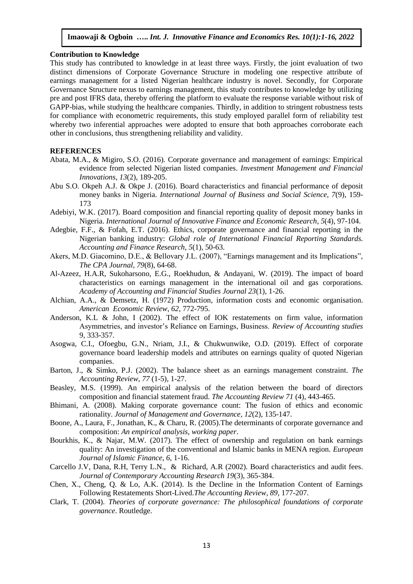#### **Contribution to Knowledge**

This study has contributed to knowledge in at least three ways. Firstly, the joint evaluation of two distinct dimensions of Corporate Governance Structure in modeling one respective attribute of earnings management for a listed Nigerian healthcare industry is novel. Secondly, for Corporate Governance Structure nexus to earnings management, this study contributes to knowledge by utilizing pre and post IFRS data, thereby offering the platform to evaluate the response variable without risk of GAPP-bias, while studying the healthcare companies. Thirdly, in addition to stringent robustness tests for compliance with econometric requirements, this study employed parallel form of reliability test whereby two inferential approaches were adopted to ensure that both approaches corroborate each other in conclusions, thus strengthening reliability and validity.

#### **REFERENCES**

- Abata, M.A., & Migiro, S.O. (2016). Corporate governance and management of earnings: Empirical evidence from selected Nigerian listed companies. *Investment Management and Financial Innovations*, *13*(2), 189-205.
- Abu S.O. Okpeh A.J. & Okpe J. (2016). Board characteristics and financial performance of deposit money banks in Nigeria. *International Journal of Business and Social Science, 7*(9), 159- 173
- Adebiyi, W.K. (2017). Board composition and financial reporting quality of deposit money banks in Nigeria. *International Journal of Innovative Finance and Economic Research*, *5*(4), 97-104.
- Adegbie, F.F., & Fofah, E.T. (2016). Ethics, corporate governance and financial reporting in the Nigerian banking industry: *Global role of International Financial Reporting Standards. Accounting and Finance Research*, *5*(1), 50-63.
- Akers, M.D. Giacomino, D.E., & Bellovary J.L. (2007), "Earnings management and its Implications", *The CPA Journal, 79*(8), 64-68.
- Al-Azeez, H.A.R, Sukoharsono, E.G., Roekhudun, & Andayani, W. (2019). The impact of board characteristics on earnings management in the international oil and gas corporations. *Academy of Accounting and Financial Studies Journal 23*(1), 1-26.
- Alchian, A.A., & Demsetz, H. (1972) Production, information costs and economic organisation. *American Economic Review*, *62,* 772-795.
- Anderson, K.L & John, I (2002). The effect of IOK restatements on firm value, information Asymmetries, and investor's Reliance on Earnings, Business. *Review of Accounting studies* 9, 333-357.
- Asogwa, C.I., Ofoegbu, G.N., Nriam, J.I., & Chukwunwike, O.D. (2019). Effect of corporate governance board leadership models and attributes on earnings quality of quoted Nigerian companies.
- Barton, J., & Simko, P.J. (2002). The balance sheet as an earnings management constraint. *The Accounting Review*, *77* (1-5), 1-27.
- Beasley, M.S. (1999). An empirical analysis of the relation between the board of directors composition and financial statement fraud. *The Accounting Review 71* (4), 443-465.
- Bhimani, A. (2008). Making corporate governance count: The fusion of ethics and economic rationality. *Journal of Management and Governance, 12*(2), 135-147.
- Boone, A., Laura, F., Jonathan, K., & Charu, R. (2005).The determinants of corporate governance and composition: *An empirical analysis, working paper*.
- Bourkhis, K., & Najar, M.W. (2017). The effect of ownership and regulation on bank earnings quality: An investigation of the conventional and Islamic banks in MENA region. *European Journal of Islamic Finance*, *6*, 1-16.
- Carcello J.V, Dana, R.H, Terry L.N., & Richard, A.R (2002). Board characteristics and audit fees. *Journal of Contemporary Accounting Research 19*(3), 365-384.
- Chen, X., Cheng, Q. & Lo, A.K. (2014). Is the Decline in the Information Content of Earnings Following Restatements Short-Lived.*The Accounting Review, 89*, 177-207.
- Clark, T. (2004). *Theories of corporate governance: The philosophical foundations of corporate governance*. Routledge.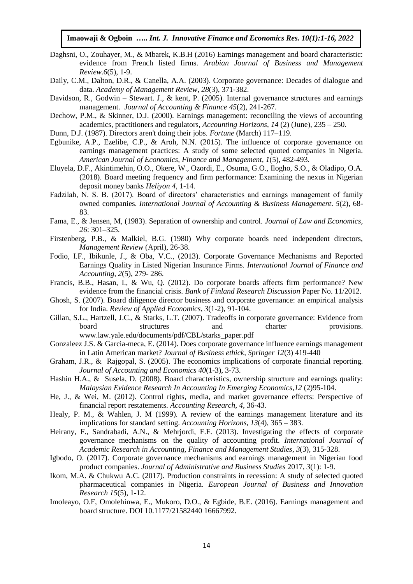- Daghsni, O., Zouhayer, M., & Mbarek, K.B.H (2016) Earnings management and board characteristic: evidence from French listed firms. *Arabian Journal of Business and Management Review.6*(5), 1-9.
- Daily, C.M., Dalton, D.R., & Canella, A.A. (2003). Corporate governance: Decades of dialogue and data. *Academy of Management Review*, *28*(3), 371-382.
- Davidson, R., Godwin Stewart. J., & kent, P. (2005). Internal governance structures and earnings management. *Journal of Accounting & Finance 45*(2), 241-267.
- Dechow, P.M., & Skinner, D.J. (2000). Earnings management: reconciling the views of accounting academics, practitioners and regulators, *Accounting Horizons*, *14* (2) (June), 235 – 250.
- Dunn, D.J. (1987). Directors aren't doing their jobs. *Fortune* (March) 117–119.
- Egbunike, A.P., Ezelibe, C.P., & Aroh, N.N. (2015). The influence of corporate governance on earnings management practices: A study of some selected quoted companies in Nigeria. *American Journal of Economics, Finance and Management, 1*(5), 482-493.
- Eluyela, D.F., Akintimehin, O.O., Okere, W., Ozordi, E., Osuma, G.O., Ilogho, S.O., & Oladipo, O.A. (2018). Board meeting frequency and firm performance: Examining the nexus in Nigerian deposit money banks *Heliyon 4*, 1-14.
- Fadzilah, N. S. B. (2017). Board of directors' characteristics and earnings management of family owned companies. *International Journal of Accounting & Business Management*. *5*(2), 68- 83.
- Fama, E., & Jensen, M, (1983). Separation of ownership and control. *Journal of Law and Economics*, *26*: 301–325.
- Firstenberg, P.B., & Malkiel, B.G. (1980) Why corporate boards need independent directors, *Management Review* (April), 26-38.
- Fodio, I.F., Ibikunle, J., & Oba, V.C., (2013). Corporate Governance Mechanisms and Reported Earnings Quality in Listed Nigerian Insurance Firms. *International Journal of Finance and Accounting, 2*(5), 279- 286.
- Francis, B.B., Hasan, I., & Wu, Q. (2012). Do corporate boards affects firm performance? New evidence from the financial crisis. *Bank of Finland Research Discussion* Paper No. 11/2012.
- Ghosh, S. (2007). Board diligence director business and corporate governance: an empirical analysis for India. *Review of Applied Economics*, *3*(1-2), 91-104.
- Gillan, S.L., Hartzell, J.C., & Starks, L.T. (2007). Tradeoffs in corporate governance: Evidence from board structures and charter provisions. www.law.yale.edu/documents/pdf/CBL/starks\_paper.pdf
- Gonzaleez J.S. & Garcia-meca, E. (2014). Does corporate governance influence earnings management in Latin American market? *Journal of Business ethick, Springer 12*(3) 419-440
- Graham, J.R., & Rajgopal, S. (2005). The economics implications of corporate financial reporting. *Journal of Accounting and Economics 40*(1-3), 3-73.
- Hashin H.A., & Susela, D. (2008). Board characteristics, ownership structure and earnings quality: *Malaysian Evidence Research In Accounting In Emerging Economics*,*12* (2)95-104.
- He, J., & Wei, M. (2012). Control rights, media, and market governance effects: Perspective of financial report restatements. *Accounting Research, 4*, 36-43.
- Healy, P. M., & Wahlen, J. M (1999). A review of the earnings management literature and its implications for standard setting. *Accounting Horizons, 13*(4), 365 – 383.
- Heirany, F., Sandrabadi, A.N., & Mehrjordi, F.F. (2013). Investigating the effects of corporate governance mechanisms on the quality of accounting profit. *International Journal of Academic Research in Accounting, Finance and Management Studies*, *3*(3), 315-328.
- Igbodo, O. (2017). Corporate governance mechanisms and earnings management in Nigerian food product companies. *Journal of Administrative and Business Studies* 2017, *3*(1): 1-9.
- Ikom, M.A. & Chukwu A.C. (2017). Production constraints in recession: A study of selected quoted pharmaceutical companies in Nigeria. *European Journal of Business and Innovation Research 15*(5), 1-12.
- Imoleayo, O.F, Omolehinwa, E., Mukoro, D.O., & Egbide, B.E. (2016). Earnings management and board structure. DOI 10.1177/21582440 16667992.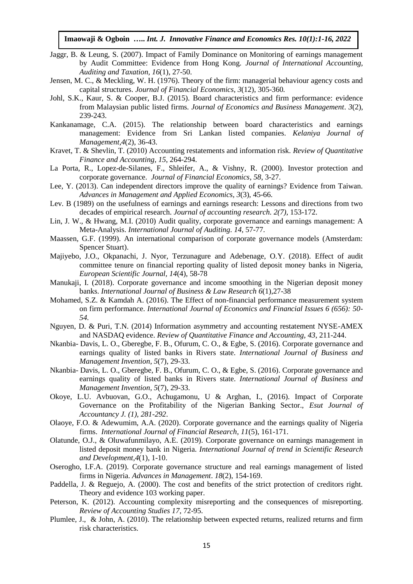- Jaggr, B. & Leung, S. (2007). Impact of Family Dominance on Monitoring of earnings management by Audit Committee: Evidence from Hong Kong. *Journal of International Accounting, Auditing and Taxation, 16*(1), 27-50.
- Jensen, M. C., & Meckling, W. H. (1976). Theory of the firm: managerial behaviour agency costs and capital structures. *Journal of Financial Economics*, *3*(12), 305-360*.*
- Johl, S.K., Kaur, S. & Cooper, B.J. (2015). Board characteristics and firm performance: evidence from Malaysian public listed firms. *Journal of Economics and Business Management*. *3*(2), 239-243.
- Kankanamage, C.A. (2015). The relationship between board characteristics and earnings management: Evidence from Sri Lankan listed companies. *Kelaniya Journal of Management,4*(2), 36-43.
- Kravet, T. & Shevlin, T. (2010) Accounting restatements and information risk. *Review of Quantitative Finance and Accounting*, *15*, 264-294.
- La Porta, R., Lopez-de-Silanes, F., Shleifer, A., & Vishny, R. (2000). Investor protection and corporate governance. *Journal of Financial Economics*, *58*, 3-27.
- Lee, Y. (2013). Can independent directors improve the quality of earnings? Evidence from Taiwan. *Advances in Management and Applied Economics, 3*(3), 45-66.
- Lev. B (1989) on the usefulness of earnings and earnings research: Lessons and directions from two decades of empirical research. *Journal of accounting research. 2(7)*, 153-172.
- Lin, J. W., & Hwang, M.I. (2010) Audit quality, corporate governance and earnings management: A Meta-Analysis. *International Journal of Auditing*. *14*, 57-77.
- Maassen, G.F. (1999). An international comparison of corporate governance models (Amsterdam: Spencer Stuart).
- Majiyebo, J.O., Okpanachi, J. Nyor, Terzunagure and Adebenage, O.Y. (2018). Effect of audit committee tenure on financial reporting quality of listed deposit money banks in Nigeria, *European Scientific Journal, 14*(4), 58-78
- Manukaji, I. (2018). Corporate governance and income smoothing in the Nigerian deposit money banks. *International Journal of Business & Law Research 6*(1),27-38
- Mohamed, S.Z. & Kamdah A. (2016). The Effect of non-financial performance measurement system on firm performance. *International Journal of Economics and Financial Issues 6 (656): 50- 54.*
- Nguyen, D. & Puri, T.N. (2014) Information asymmetry and accounting restatement NYSE-AMEX and NASDAQ evidence. *Review of Quantitative Finance and Accounting, 43*, 211-244.
- Nkanbia- Davis, L. O., Gberegbe, F. B., Ofurum, C. O., & Egbe, S. (2016). Corporate governance and earnings quality of listed banks in Rivers state. *International Journal of Business and Management Invention, 5*(7), 29-33.
- Nkanbia- Davis, L. O., Gberegbe, F. B., Ofurum, C. O., & Egbe, S. (2016). Corporate governance and earnings quality of listed banks in Rivers state. *International Journal of Business and Management Invention, 5*(7), 29-33.
- Okoye, L.U. Avbuovan, G.O., Achugamonu, U & Arghan, I., (2016). Impact of Corporate Governance on the Profitability of the Nigerian Banking Sector., *Esut Journal of Accountancy J. (1), 281-292*.
- Olaoye, F.O. & Adewumim, A.A. (2020). Corporate governance and the earnings quality of Nigeria firms. *International Journal of Financial Research, 11*(5), 161-171.
- Olatunde, O.J., & Oluwafunmilayo, A.E. (2019). Corporate governance on earnings management in listed deposit money bank in Nigeria. *International Journal of trend in Scientific Research and Development,4*(1), 1-10.
- Oserogho, I.F.A. (2019). Corporate governance structure and real earnings management of listed firms in Nigeria. *Advances in Management*. *18*(2), 154-169.
- Paddella, J. & Reguejo, A. (2000). The cost and benefits of the strict protection of creditors right. Theory and evidence 103 working paper.
- Peterson, K. (2012). Accounting complexity misreporting and the consequences of misreporting. *Review of Accounting Studies 17*, 72-95.
- Plumlee, J., & John, A. (2010). The relationship between expected returns, realized returns and firm risk characteristics.